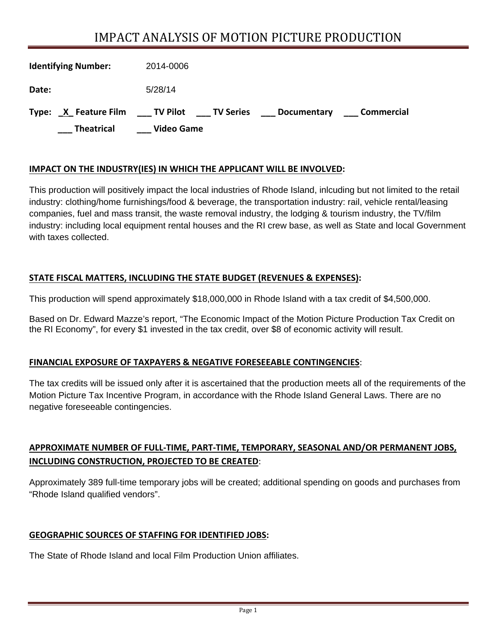# IMPACT ANALYSIS OF MOTION PICTURE PRODUCTION

| <b>Identifying Number:</b> | 2014-0006                                                             |
|----------------------------|-----------------------------------------------------------------------|
| Date:                      | 5/28/14                                                               |
| Type:                      | X Feature Film TV Pilot TV Series<br>Commercial<br><b>Documentary</b> |
| <b>Theatrical</b>          | Video Game                                                            |

#### **IMPACT ON THE INDUSTRY(IES) IN WHICH THE APPLICANT WILL BE INVOLVED:**

This production will positively impact the local industries of Rhode Island, inlcuding but not limited to the retail industry: clothing/home furnishings/food & beverage, the transportation industry: rail, vehicle rental/leasing companies, fuel and mass transit, the waste removal industry, the lodging & tourism industry, the TV/film industry: including local equipment rental houses and the RI crew base, as well as State and local Government with taxes collected.

#### **STATE FISCAL MATTERS, INCLUDING THE STATE BUDGET (REVENUES & EXPENSES):**

This production will spend approximately \$18,000,000 in Rhode Island with a tax credit of \$4,500,000.

Based on Dr. Edward Mazze's report, "The Economic Impact of the Motion Picture Production Tax Credit on the RI Economy", for every \$1 invested in the tax credit, over \$8 of economic activity will result.

#### **FINANCIAL EXPOSURE OF TAXPAYERS & NEGATIVE FORESEEABLE CONTINGENCIES**:

The tax credits will be issued only after it is ascertained that the production meets all of the requirements of the Motion Picture Tax Incentive Program, in accordance with the Rhode Island General Laws. There are no negative foreseeable contingencies.

## **APPROXIMATE NUMBER OF FULL‐TIME, PART‐TIME, TEMPORARY, SEASONAL AND/OR PERMANENT JOBS, INCLUDING CONSTRUCTION, PROJECTED TO BE CREATED**:

Approximately 389 full-time temporary jobs will be created; additional spending on goods and purchases from "Rhode Island qualified vendors".

#### **GEOGRAPHIC SOURCES OF STAFFING FOR IDENTIFIED JOBS:**

The State of Rhode Island and local Film Production Union affiliates.